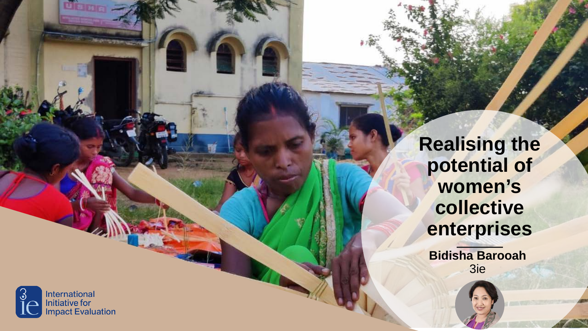**Realising the** potential of women's collective enterprises

**Bidisha Barooah** 3ie

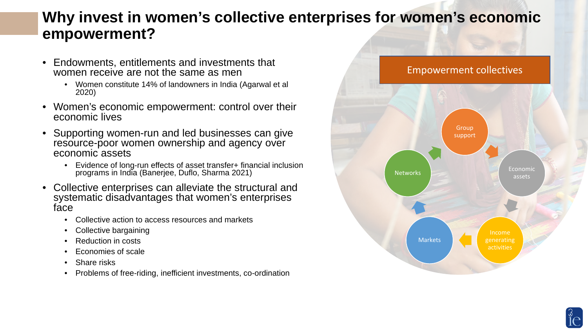#### **Why invest in women's collective enterprises for women's economic empowerment?**

- Endowments, entitlements and investments that women receive are not the same as men
	- Women constitute 14% of landowners in India (Agarwal et al 2020)
- Women's economic empowerment: control over their economic lives
- Supporting women-run and led businesses can give resource-poor women ownership and agency over economic assets
	- Evidence of long-run effects of asset transfer+ financial inclusion programs in India (Banerjee, Duflo, Sharma 2021)
- Collective enterprises can alleviate the structural and systematic disadvantages that women's enterprises face
	- Collective action to access resources and markets
	- Collective bargaining
	- Reduction in costs
	- Economies of scale
	- Share risks
	- Problems of free-riding, inefficient investments, co-ordination



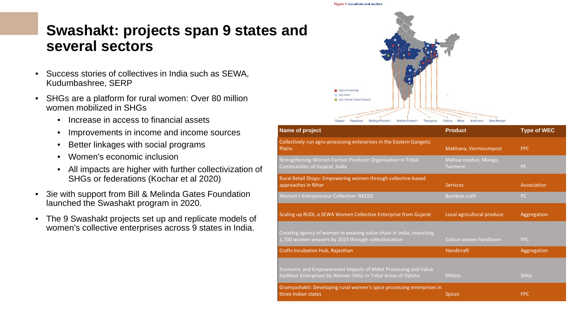#### **Swashakt: projects span 9 states and several sectors**

- Success stories of collectives in India such as SEWA, Kudumbashree, SERP
- SHGs are a platform for rural women: Over 80 million women mobilized in SHGs
	- Increase in access to financial assets
	- Improvements in income and income sources
	- Better linkages with social programs
	- Women's economic inclusion
	- All impacts are higher with further collectivization of SHGs or federations (Kochar et al 2020)
- 3ie with support from Bill & Melinda Gates Foundation launched the Swashakt program in 2020.
- The 9 Swashakt projects set up and replicate models of women's collective enterprises across 9 states in India.



| Name of project                                                                                                                 | <b>Product</b>                           | <b>Type of WEC</b> |
|---------------------------------------------------------------------------------------------------------------------------------|------------------------------------------|--------------------|
| Collectively run agro-processing enterprises in the Eastern Gangetic<br><b>Plains</b>                                           | Makhana, Vermicompost                    | <b>FPC</b>         |
| Strengthening Women Farmer Producer Organisation in Tribal<br>Communities of Gujarat, India                                     | Mahua residue, Mango,<br><b>Turmeric</b> | PC                 |
| Rural Retail Shops: Empowering women through collective-based<br>approaches in Bihar                                            | <b>Services</b>                          | Association        |
| Women's Entrepreneur Collective- NEEDS                                                                                          | Bamboo craft                             | <b>PC</b>          |
| Scaling up RUDI, a SEWA Women Collective Enterprise from Gujarat                                                                | Local agricultural produce               | Aggregation        |
| Creating agency of women in weaving value-chain in India, impacting<br>1,700 women weavers by 2023 through collectivization     | Cotton woven handloom                    | <b>FPC</b>         |
| Crafts Incubation Hub, Rajasthan                                                                                                | Handicraft                               | Aggregation        |
| Economic and Empowerment Impacts of Millet Processing and Value<br>Addition Enterprises by Women SHGs in Tribal Areas of Odisha | <b>Millets</b>                           | <b>SHGs</b>        |
| Gramyashakti: Developing rural women's spice processing enterprises in<br>three Indian states                                   | <b>Spices</b>                            | <b>FPC</b>         |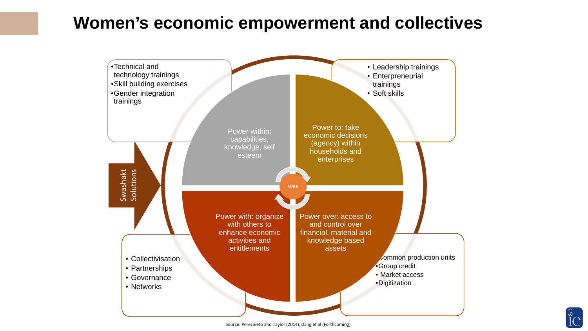## **Women's economic empowerment and collectives**



 $\rm \mathring{1}\rm \mathring{e}$  .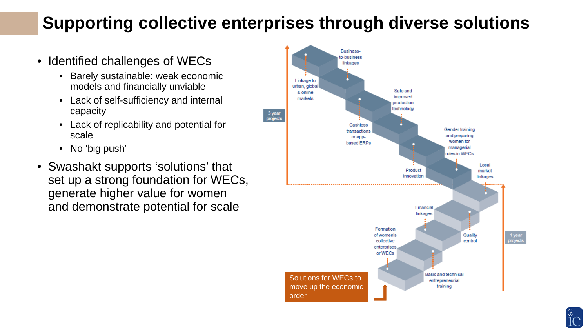# **Supporting collective enterprises through diverse solutions**

- Identified challenges of WECs
	- Barely sustainable: weak economic models and financially unviable
	- Lack of self-sufficiency and internal capacity
	- Lack of replicability and potential for scale
	- No 'big push'
- Swashakt supports 'solutions' that set up a strong foundation for WECs, generate higher value for women and demonstrate potential for scale